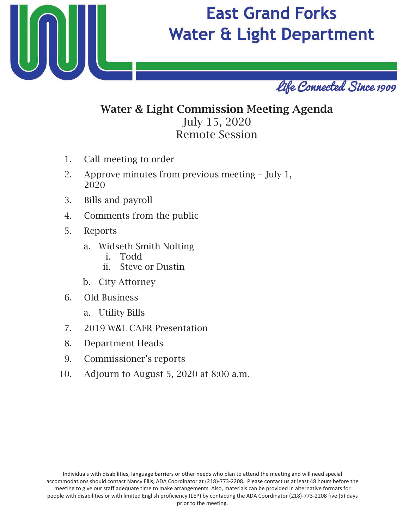

# **East Grand Forks Water & Light Department**



## Water & Light Commission Meeting Agenda July 15, 20 Remote Session

- 1. Call meeting to order
- 2. Approve minutes from previous meeting July 1, 2020
- 3. Bills and payroll
- 4. Comments from the public
- 5. Reports
	- a. Widseth Smith Nolting
		- i. Todd
		- ii. Steve or Dustin
	- b. City Attorney
- 6. Old Business
	- a. Utility Bills
- 7. 2019 W&L CAFR Presentation
- 8. Department Heads
- 9. Commissioner's reports
- 10. Adjourn to August 5, 2020 at 8:00 a.m.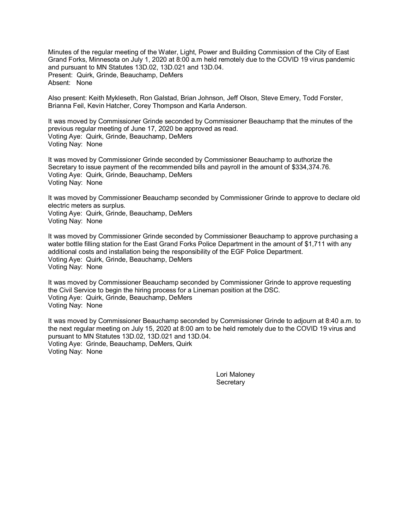Minutes of the regular meeting of the Water, Light, Power and Building Commission of the City of East Grand Forks, Minnesota on July 1, 2020 at 8:00 a.m held remotely due to the COVID 19 virus pandemic and pursuant to MN Statutes 13D.02, 13D.021 and 13D.04. Present: Quirk, Grinde, Beauchamp, DeMers Absent: None

Also present: Keith Mykleseth, Ron Galstad, Brian Johnson, Jeff Olson, Steve Emery, Todd Forster, Brianna Feil, Kevin Hatcher, Corey Thompson and Karla Anderson.

It was moved by Commissioner Grinde seconded by Commissioner Beauchamp that the minutes of the previous regular meeting of June 17, 2020 be approved as read. Voting Aye: Quirk, Grinde, Beauchamp, DeMers Voting Nay: None

It was moved by Commissioner Grinde seconded by Commissioner Beauchamp to authorize the Secretary to issue payment of the recommended bills and payroll in the amount of \$334,374.76. Voting Aye: Quirk, Grinde, Beauchamp, DeMers Voting Nay: None

It was moved by Commissioner Beauchamp seconded by Commissioner Grinde to approve to declare old electric meters as surplus. Voting Aye: Quirk, Grinde, Beauchamp, DeMers

Voting Nay: None

It was moved by Commissioner Grinde seconded by Commissioner Beauchamp to approve purchasing a water bottle filling station for the East Grand Forks Police Department in the amount of \$1,711 with any additional costs and installation being the responsibility of the EGF Police Department. Voting Aye: Quirk, Grinde, Beauchamp, DeMers Voting Nay: None

It was moved by Commissioner Beauchamp seconded by Commissioner Grinde to approve requesting the Civil Service to begin the hiring process for a Lineman position at the DSC. Voting Aye: Quirk, Grinde, Beauchamp, DeMers Voting Nay: None

It was moved by Commissioner Beauchamp seconded by Commissioner Grinde to adjourn at 8:40 a.m. to the next regular meeting on July 15, 2020 at 8:00 am to be held remotely due to the COVID 19 virus and pursuant to MN Statutes 13D.02, 13D.021 and 13D.04. Voting Aye: Grinde, Beauchamp, DeMers, Quirk Voting Nay: None

> Lori Maloney **Secretary**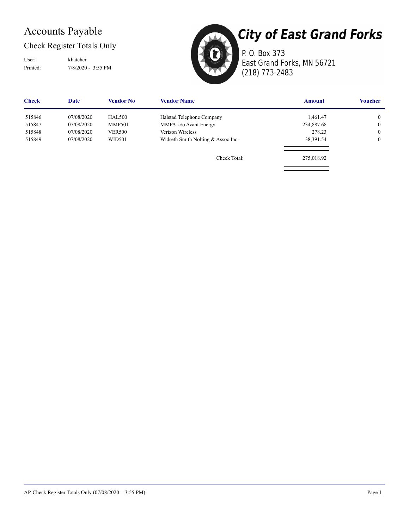### Accounts Payable

Check Register Totals Only

User: khatcher

Printed: 7/8/2020 - 3:55 PM



**City of East Grand Forks** P. O. Box 373 East Grand Forks, MN 56721 (218) 773-2483

| <b>Check</b> | Date       | <b>Vendor No</b> | <b>Vendor Name</b>                 | <b>Amount</b> | <b>Voucher</b> |
|--------------|------------|------------------|------------------------------------|---------------|----------------|
| 515846       | 07/08/2020 | <b>HAL500</b>    | Halstad Telephone Company          | 1,461.47      | $\overline{0}$ |
| 515847       | 07/08/2020 | <b>MMP501</b>    | MMPA c/o Avant Energy              | 234,887.68    | $\mathbf{0}$   |
| 515848       | 07/08/2020 | <b>VER500</b>    | Verizon Wireless                   | 278.23        | $\mathbf{0}$   |
| 515849       | 07/08/2020 | WID501           | Widseth Smith Nolting & Assoc Inc. | 38,391.54     | $\mathbf{0}$   |
|              |            |                  | Check Total:                       | 275,018.92    |                |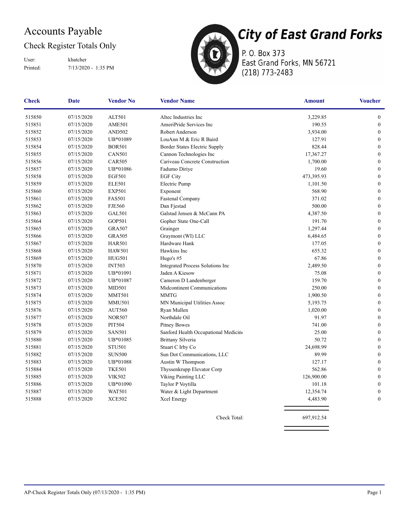### Accounts Payable

#### Check Register Totals Only

Printed: 7/13/2020 - 1:35 PM User: khatcher



P. O. Box 373 East Grand Forks, MN 56721 (218) 773-2483

| Check  | Date       | <b>Vendor No</b> | <b>Vendor Name</b>                   | <b>Amount</b> | <b>Voucher</b>   |
|--------|------------|------------------|--------------------------------------|---------------|------------------|
| 515850 | 07/15/2020 | ALT501           | Altec Industries Inc.                | 3,229.85      | $\boldsymbol{0}$ |
| 515851 | 07/15/2020 | <b>AME501</b>    | AmeriPride Services Inc              | 190.55        | $\boldsymbol{0}$ |
| 515852 | 07/15/2020 | <b>AND502</b>    | Robert Anderson                      | 3,934.00      | $\boldsymbol{0}$ |
| 515853 | 07/15/2020 | UB*01089         | LouAnn M & Eric R Baird              | 127.91        | $\boldsymbol{0}$ |
| 515854 | 07/15/2020 | <b>BOR501</b>    | Border States Electric Supply        | 828.44        | $\boldsymbol{0}$ |
| 515855 | 07/15/2020 | <b>CAN501</b>    | Cannon Technologies Inc              | 17,367.27     | $\boldsymbol{0}$ |
| 515856 | 07/15/2020 | <b>CAR505</b>    | Cariveau Concrete Construction       | 1,700.00      | $\mathbf{0}$     |
| 515857 | 07/15/2020 | UB*01086         | Fadumo Diriye                        | 19.60         | $\boldsymbol{0}$ |
| 515858 | 07/15/2020 | <b>EGF501</b>    | <b>EGF City</b>                      | 473,395.93    | $\boldsymbol{0}$ |
| 515859 | 07/15/2020 | <b>ELE501</b>    | Electric Pump                        | 1,101.50      | $\boldsymbol{0}$ |
| 515860 | 07/15/2020 | <b>EXP501</b>    | Exponent                             | 568.90        | $\boldsymbol{0}$ |
| 515861 | 07/15/2020 | <b>FAS501</b>    | Fastenal Company                     | 371.02        | $\boldsymbol{0}$ |
| 515862 | 07/15/2020 | <b>FJE560</b>    | Dan Fjestad                          | 500.00        | $\boldsymbol{0}$ |
| 515863 | 07/15/2020 | <b>GAL501</b>    | Galstad Jensen & McCann PA           | 4,387.50      | $\boldsymbol{0}$ |
| 515864 | 07/15/2020 | <b>GOP501</b>    | Gopher State One-Call                | 191.70        | $\boldsymbol{0}$ |
| 515865 | 07/15/2020 | <b>GRA507</b>    | Grainger                             | 1,297.44      | $\boldsymbol{0}$ |
| 515866 | 07/15/2020 | <b>GRA505</b>    | Graymont (WI) LLC                    | 6,484.65      | $\boldsymbol{0}$ |
| 515867 | 07/15/2020 | <b>HAR501</b>    | Hardware Hank                        | 177.05        | $\boldsymbol{0}$ |
| 515868 | 07/15/2020 | <b>HAW501</b>    | Hawkins Inc                          | 655.32        | $\boldsymbol{0}$ |
| 515869 | 07/15/2020 | <b>HUG501</b>    | Hugo's #5                            | 67.86         | $\mathbf{0}$     |
| 515870 | 07/15/2020 | <b>INT503</b>    | Integrated Process Solutions Inc     | 2,489.50      | $\boldsymbol{0}$ |
| 515871 | 07/15/2020 | UB*01091         | Jaden A Kiesow                       | 75.08         | $\boldsymbol{0}$ |
| 515872 | 07/15/2020 | UB*01087         | Cameron D Landenberger               | 159.70        | $\mathbf{0}$     |
| 515873 | 07/15/2020 | <b>MID501</b>    | Midcontinent Communications          | 250.00        | $\boldsymbol{0}$ |
| 515874 | 07/15/2020 | <b>MMT501</b>    | <b>MMTG</b>                          | 1,900.50      | $\boldsymbol{0}$ |
| 515875 | 07/15/2020 | <b>MMU501</b>    | MN Municipal Utilities Assoc         | 5,193.75      | $\boldsymbol{0}$ |
| 515876 | 07/15/2020 | <b>AUT560</b>    | Ryan Mullen                          | 1,020.00      | $\mathbf{0}$     |
| 515877 | 07/15/2020 | <b>NOR507</b>    | Northdale Oil                        | 91.97         | $\boldsymbol{0}$ |
| 515878 | 07/15/2020 | <b>PIT504</b>    | <b>Pitney Bowes</b>                  | 741.00        | $\mathbf{0}$     |
| 515879 | 07/15/2020 | <b>SAN501</b>    | Sanford Health Occupational Medicine | 25.00         | $\boldsymbol{0}$ |
| 515880 | 07/15/2020 | UB*01085         | <b>Brittany Silveria</b>             | 50.72         | $\mathbf{0}$     |
| 515881 | 07/15/2020 | <b>STU501</b>    | Stuart C Irby Co                     | 24,698.99     | $\boldsymbol{0}$ |
| 515882 | 07/15/2020 | <b>SUN500</b>    | Sun Dot Communications, LLC          | 89.99         | $\boldsymbol{0}$ |
| 515883 | 07/15/2020 | UB*01088         | Austin W Thompson                    | 127.17        | $\boldsymbol{0}$ |
| 515884 | 07/15/2020 | <b>TKE501</b>    | Thyssenkrupp Elevator Corp           | 562.86        | $\mathbf{0}$     |
| 515885 | 07/15/2020 | <b>VIK502</b>    | Viking Painting LLC                  | 126,900.00    | $\mathbf{0}$     |
| 515886 | 07/15/2020 | UB*01090         | Taylor P Voytilla                    | 101.18        | $\boldsymbol{0}$ |
| 515887 | 07/15/2020 | <b>WAT501</b>    | Water & Light Department             | 12,354.74     | $\boldsymbol{0}$ |
| 515888 | 07/15/2020 | <b>XCE502</b>    | Xcel Energy                          | 4,483.90      | $\boldsymbol{0}$ |
|        |            |                  |                                      |               |                  |

Check Total: 697,912.54